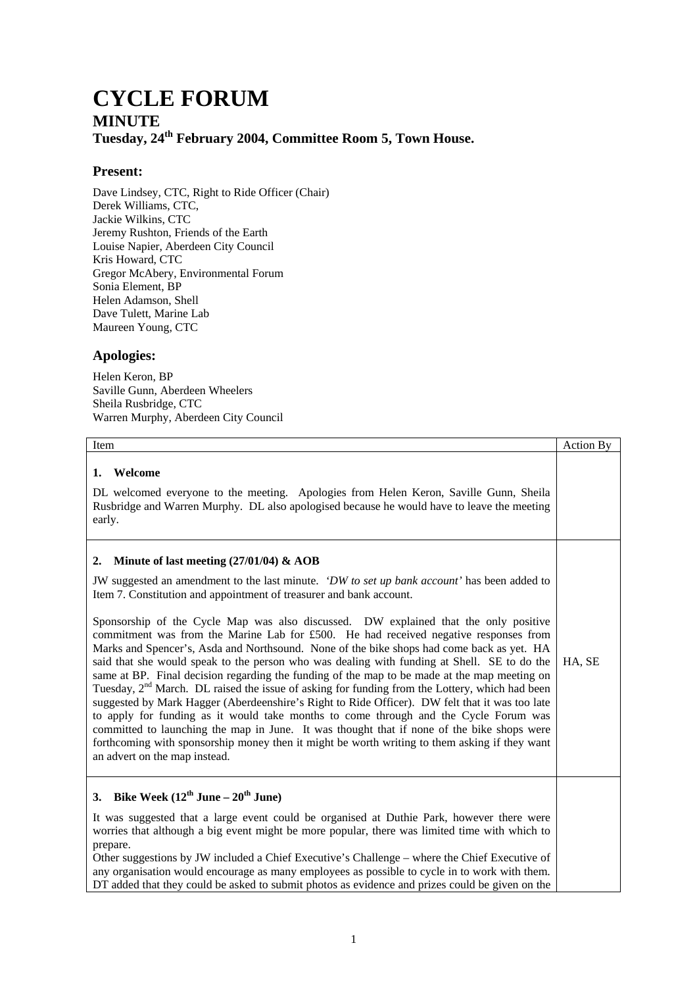## **CYCLE FORUM MINUTE Tuesday, 24th February 2004, Committee Room 5, Town House.**

## **Present:**

Dave Lindsey, CTC, Right to Ride Officer (Chair) Derek Williams, CTC, Jackie Wilkins, CTC Jeremy Rushton, Friends of the Earth Louise Napier, Aberdeen City Council Kris Howard, CTC Gregor McAbery, Environmental Forum Sonia Element, BP Helen Adamson, Shell Dave Tulett, Marine Lab Maureen Young, CTC

## **Apologies:**

Helen Keron, BP Saville Gunn, Aberdeen Wheelers Sheila Rusbridge, CTC Warren Murphy, Aberdeen City Council

| Item                                                                                                                                                                                                                                                                                                                                                                                                                                                                                                                                                                                                                                                                                                                                                                                                                                                                                                                                                                                                                                                                                                                                                                                                                                      | Action By |
|-------------------------------------------------------------------------------------------------------------------------------------------------------------------------------------------------------------------------------------------------------------------------------------------------------------------------------------------------------------------------------------------------------------------------------------------------------------------------------------------------------------------------------------------------------------------------------------------------------------------------------------------------------------------------------------------------------------------------------------------------------------------------------------------------------------------------------------------------------------------------------------------------------------------------------------------------------------------------------------------------------------------------------------------------------------------------------------------------------------------------------------------------------------------------------------------------------------------------------------------|-----------|
| Welcome<br>1.<br>DL welcomed everyone to the meeting. Apologies from Helen Keron, Saville Gunn, Sheila<br>Rusbridge and Warren Murphy. DL also apologised because he would have to leave the meeting<br>early.                                                                                                                                                                                                                                                                                                                                                                                                                                                                                                                                                                                                                                                                                                                                                                                                                                                                                                                                                                                                                            |           |
| Minute of last meeting $(27/01/04)$ & AOB<br>2.<br>JW suggested an amendment to the last minute. 'DW to set up bank account' has been added to<br>Item 7. Constitution and appointment of treasurer and bank account.<br>Sponsorship of the Cycle Map was also discussed. DW explained that the only positive<br>commitment was from the Marine Lab for £500. He had received negative responses from<br>Marks and Spencer's, Asda and Northsound. None of the bike shops had come back as yet. HA<br>said that she would speak to the person who was dealing with funding at Shell. SE to do the<br>same at BP. Final decision regarding the funding of the map to be made at the map meeting on<br>Tuesday, 2 <sup>nd</sup> March. DL raised the issue of asking for funding from the Lottery, which had been<br>suggested by Mark Hagger (Aberdeenshire's Right to Ride Officer). DW felt that it was too late<br>to apply for funding as it would take months to come through and the Cycle Forum was<br>committed to launching the map in June. It was thought that if none of the bike shops were<br>forthcoming with sponsorship money then it might be worth writing to them asking if they want<br>an advert on the map instead. | HA, SE    |
| 3. Bike Week $(12^{th}$ June – $20^{th}$ June)<br>It was suggested that a large event could be organised at Duthie Park, however there were<br>worries that although a big event might be more popular, there was limited time with which to<br>prepare.<br>Other suggestions by JW included a Chief Executive's Challenge – where the Chief Executive of<br>any organisation would encourage as many employees as possible to cycle in to work with them.<br>DT added that they could be asked to submit photos as evidence and prizes could be given on the                                                                                                                                                                                                                                                                                                                                                                                                                                                                                                                                                                                                                                                                             |           |